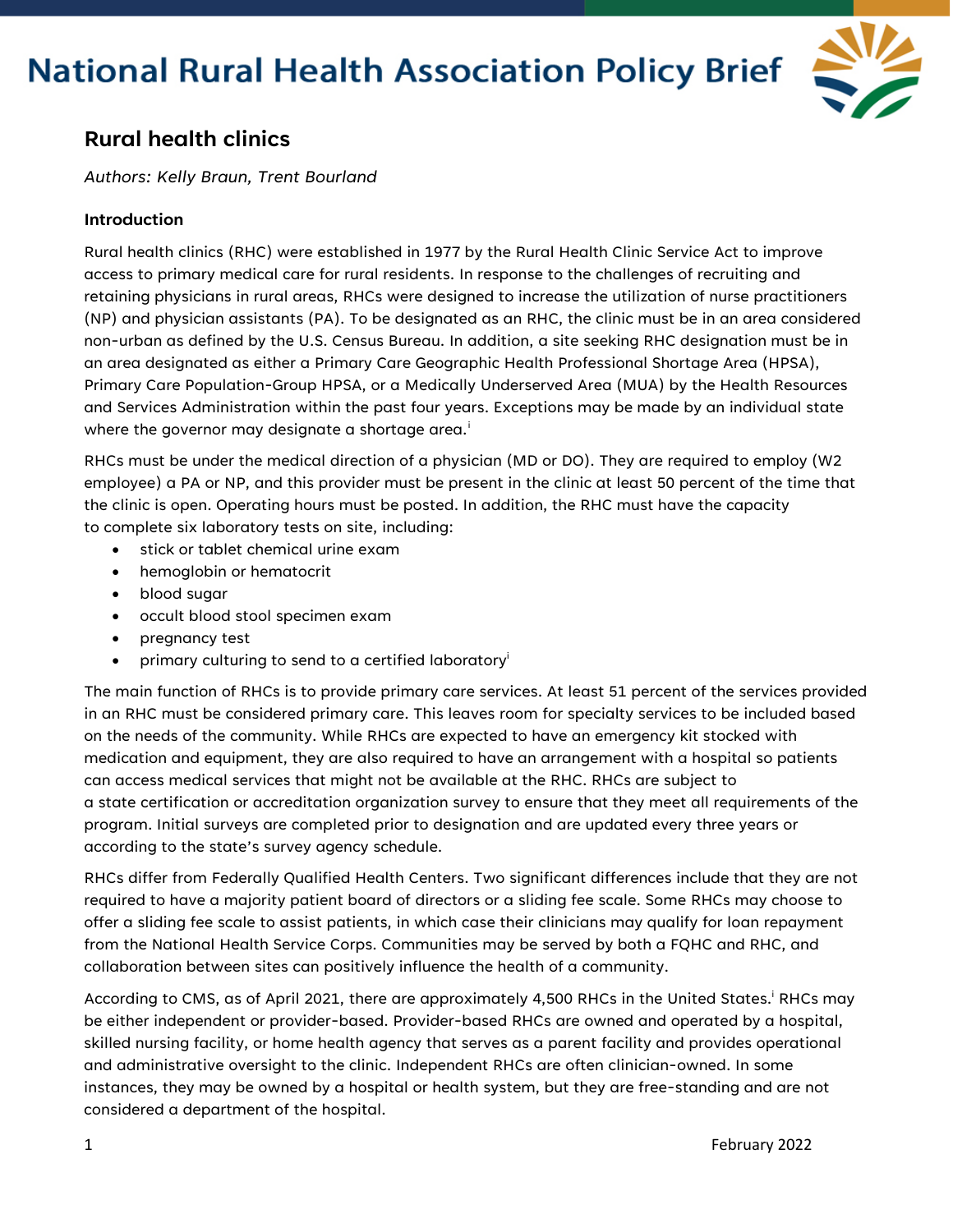

# **Rural health clinics**

*Authors: Kelly Braun, Trent Bourland*

# **Introduction**

Rural health clinics (RHC) were established in 1977 by the Rural Health Clinic Service Act to improve access to primary medical care for rural residents. In response to the challenges of recruiting and retaining physicians in rural areas, RHCs were designed to increase the utilization of nurse practitioners (NP) and physician assistants (PA). To be designated as an RHC, the clinic must be in an area considered non-urban as defined by the U.S. Census Bureau. In addition, a site seeking RHC designation must be in an area designated as either a Primary Care Geographic Health Professional Shortage Area (HPSA), Primary Care Population-Group HPSA, or a Medically Underserved Area (MUA) by the Health Resources and Services Administration within the past four years. Exceptions may be made by an individual state where the governor may des[i](#page-3-0)gnate a shortage area.<sup>i</sup>

RHCs must be under the medical direction of a physician (MD or DO). They are required to employ (W2 employee) a PA or NP, and this provider must be present in the clinic at least 50 percent of the time that the clinic is open. Operating hours must be posted. In addition, the RHC must have the capacity to complete six laboratory tests on site, including:

- stick or tablet chemical urine exam
- hemoglobin or hematocrit
- blood sugar
- occult blood stool specimen exam
- pregnancy test
- primary culturing to send to a certified laboratory<sup>i</sup>

The main function of RHCs is to provide primary care services. At least 51 percent of the services provided in an RHC must be considered primary care. This leaves room for specialty services to be included based on the needs of the community. While RHCs are expected to have an emergency kit stocked with medication and equipment, they are also required to have an arrangement with a hospital so patients can access medical services that might not be available at the RHC. RHCs are subject to a state certification or accreditation organization survey to ensure that they meet all requirements of the program. Initial surveys are completed prior to designation and are updated every three years or according to the state's survey agency schedule.

RHCs differ from Federally Qualified Health Centers. Two significant differences include that they are not required to have a majority patient board of directors or a sliding fee scale. Some RHCs may choose to offer a sliding fee scale to assist patients, in which case their clinicians may qualify for loan repayment from the National Health Service Corps. Communities may be served by both a FQHC and RHC, and collaboration between sites can positively influence the health of a community.

According to CMS, as of April 2021, there are approximately 4,500 RHCs in the United States.<sup>i</sup> RHCs may be either independent or provider-based. Provider-based RHCs are owned and operated by a hospital, skilled nursing facility, or home health agency that serves as a parent facility and provides operational and administrative oversight to the clinic. Independent RHCs are often clinician-owned. In some instances, they may be owned by a hospital or health system, but they are free-standing and are not considered a department of the hospital.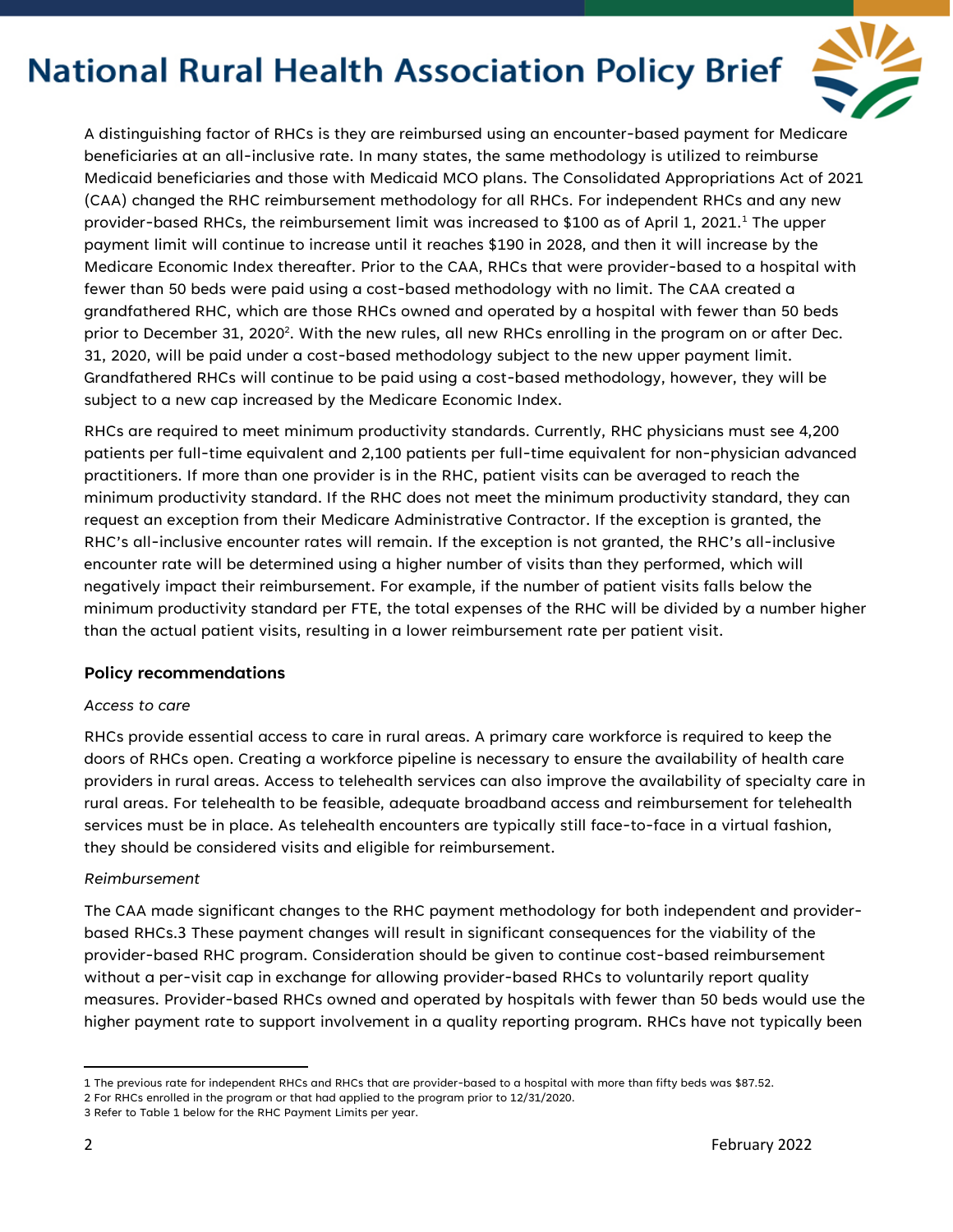

A distinguishing factor of RHCs is they are reimbursed using an encounter-based payment for Medicare beneficiaries at an all-inclusive rate. In many states, the same methodology is utilized to reimburse Medicaid beneficiaries and those with Medicaid MCO plans. The Consolidated Appropriations Act of 2021 (CAA) changed the RHC reimbursement methodology for all RHCs. For independent RHCs and any new provider-based RHCs, the reimbursement limit was increased to \$[1](#page-1-0)00 as of April 1, 2021.<sup>1</sup> The upper payment limit will continue to increase until it reaches \$190 in 2028, and then it will increase by the Medicare Economic Index thereafter. Prior to the CAA, RHCs that were provider-based to a hospital with fewer than 50 beds were paid using a cost-based methodology with no limit. The CAA created a grandfathered RHC, which are those RHCs owned and operated by a hospital with fewer than 50 beds prior to December 31, 2020 $^2$ . With the new rules, all new RHCs enrolling in the program on or after Dec. 31, 2020, will be paid under a cost-based methodology subject to the new upper payment limit. Grandfathered RHCs will continue to be paid using a cost-based methodology, however, they will be subject to a new cap increased by the Medicare Economic Index.

RHCs are required to meet minimum productivity standards. Currently, RHC physicians must see 4,200 patients per full-time equivalent and 2,100 patients per full-time equivalent for non-physician advanced practitioners. If more than one provider is in the RHC, patient visits can be averaged to reach the minimum productivity standard. If the RHC does not meet the minimum productivity standard, they can request an exception from their Medicare Administrative Contractor. If the exception is granted, the RHC's all-inclusive encounter rates will remain. If the exception is not granted, the RHC's all-inclusive encounter rate will be determined using a higher number of visits than they performed, which will negatively impact their reimbursement. For example, if the number of patient visits falls below the minimum productivity standard per FTE, the total expenses of the RHC will be divided by a number higher than the actual patient visits, resulting in a lower reimbursement rate per patient visit.

### **Policy recommendations**

### *Access to care*

RHCs provide essential access to care in rural areas. A primary care workforce is required to keep the doors of RHCs open. Creating a workforce pipeline is necessary to ensure the availability of health care providers in rural areas. Access to telehealth services can also improve the availability of specialty care in rural areas. For telehealth to be feasible, adequate broadband access and reimbursement for telehealth services must be in place. As telehealth encounters are typically still face-to-face in a virtual fashion, they should be considered visits and eligible for reimbursement.

#### *Reimbursement*

The CAA made significant changes to the RHC payment methodology for both independent and providerbased RHCs.3 These payment changes will result in significant consequences for the viability of the provider-based RHC program. Consideration should be given to continue cost-based reimbursement without a per-visit cap in exchange for allowing provider-based RHCs to voluntarily report quality measures. Provider-based RHCs owned and operated by hospitals with fewer than 50 beds would use the higher payment rate to support involvement in a quality reporting program. RHCs have not typically been

<span id="page-1-0"></span><sup>1</sup> The previous rate for independent RHCs and RHCs that are provider-based to a hospital with more than fifty beds was \$87.52.

<sup>2</sup> For RHCs enrolled in the program or that had applied to the program prior to 12/31/2020.

<sup>3</sup> Refer to Table 1 below for the RHC Payment Limits per year.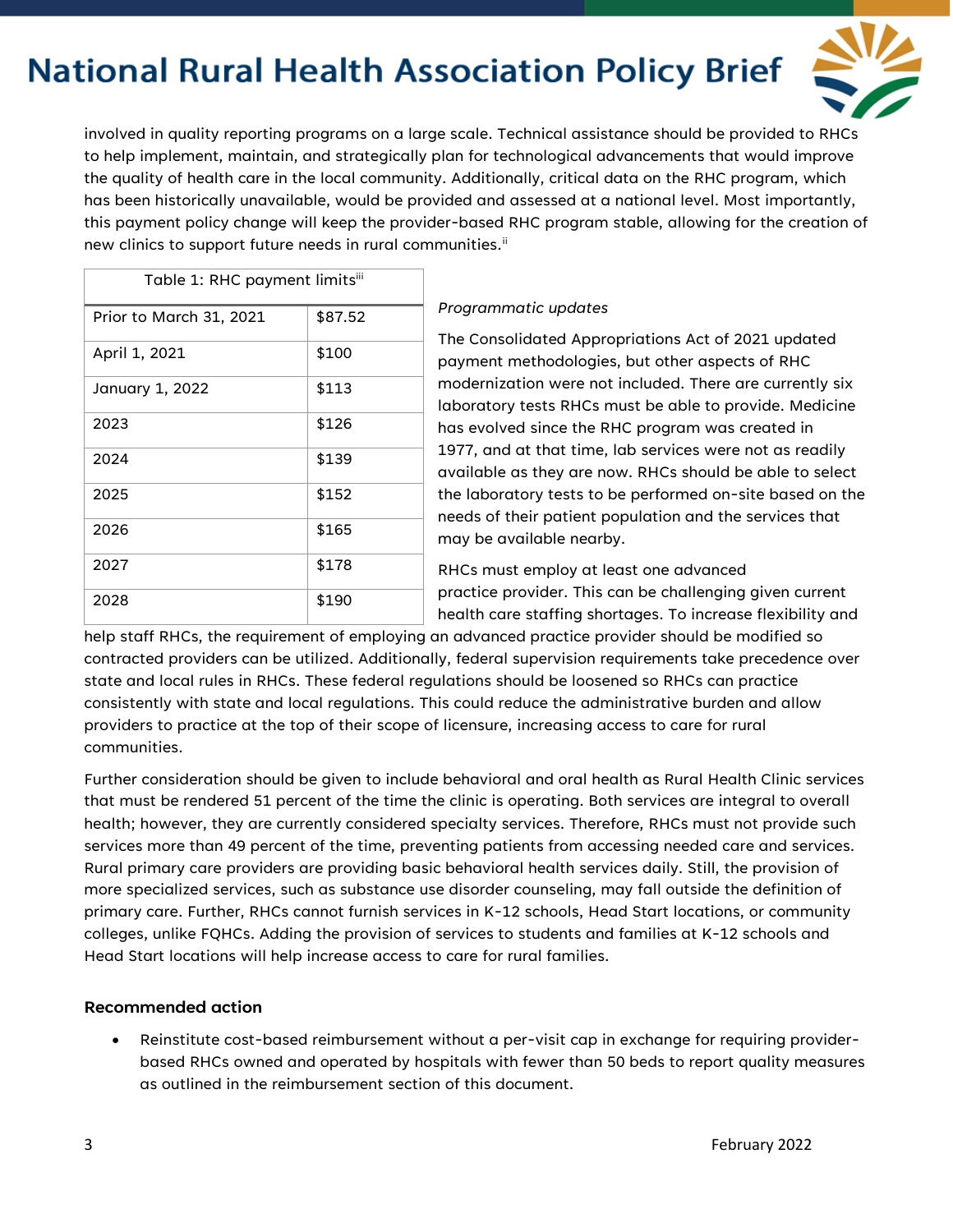

involved in quality reporting programs on a large scale. Technical assistance should be provided to RHCs to help implement, maintain, and strategically plan for technological advancements that would improve the quality of health care in the local community. Additionally, critical data on the RHC program, which has been historically unavailable, would be provided and assessed at a national level. Most importantly, this payment policy change will keep the provider-based RHC program stable, allowing for the creation of new clinics to support future needs in rural communities.<sup>[ii](#page-3-1)</sup>

| Table 1: RHC payment limitsiii |         |
|--------------------------------|---------|
| Prior to March 31, 2021        | \$87.52 |
| April 1, 2021                  | \$100   |
| January 1, 2022                | \$113   |
| 2023                           | \$126   |
| 2024                           | \$139   |
| 2025                           | \$152   |
| 2026                           | \$165   |
| 2027                           | \$178   |
| 2028                           | \$190   |

### *Programmatic updates*

The Consolidated Appropriations Act of 2021 updated payment methodologies, but other aspects of RHC modernization were not included. There are currently six laboratory tests RHCs must be able to provide. Medicine has evolved since the RHC program was created in 1977, and at that time, lab services were not as readily available as they are now. RHCs should be able to select the laboratory tests to be performed on-site based on the needs of their patient population and the services that may be available nearby.

RHCs must employ at least one advanced practice provider. This can be challenging given current health care staffing shortages. To increase flexibility and

help staff RHCs, the requirement of employing an advanced practice provider should be modified so contracted providers can be utilized. Additionally, federal supervision requirements take precedence over state and local rules in RHCs. These federal regulations should be loosened so RHCs can practice consistently with state and local regulations. This could reduce the administrative burden and allow providers to practice at the top of their scope of licensure, increasing access to care for rural communities.

Further consideration should be given to include behavioral and oral health as Rural Health Clinic services that must be rendered 51 percent of the time the clinic is operating. Both services are integral to overall health; however, they are currently considered specialty services. Therefore, RHCs must not provide such services more than 49 percent of the time, preventing patients from accessing needed care and services. Rural primary care providers are providing basic behavioral health services daily. Still, the provision of more specialized services, such as substance use disorder counseling, may fall outside the definition of primary care. Further, RHCs cannot furnish services in K-12 schools, Head Start locations, or community colleges, unlike FQHCs. Adding the provision of services to students and families at K-12 schools and Head Start locations will help increase access to care for rural families.

## **Recommended action**

• Reinstitute cost-based reimbursement without a per-visit cap in exchange for requiring providerbased RHCs owned and operated by hospitals with fewer than 50 beds to report quality measures as outlined in the reimbursement section of this document.